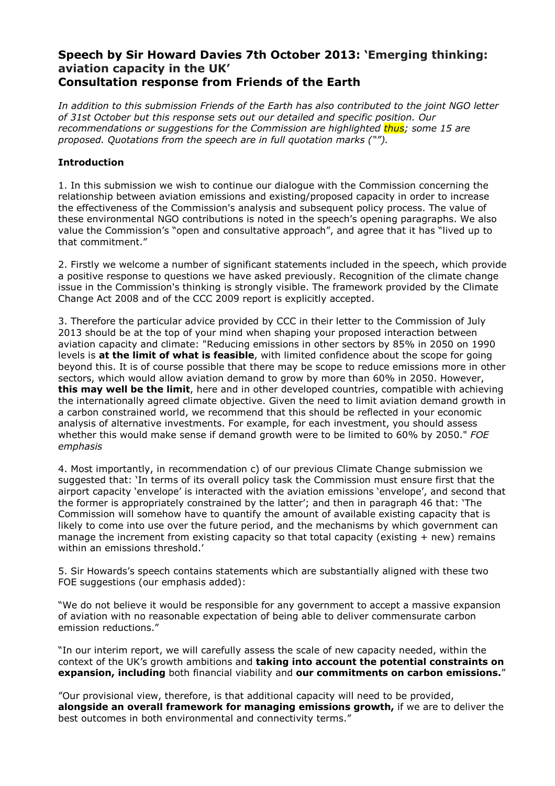## **Speech by Sir Howard Davies 7th October 2013: 'Emerging thinking: aviation capacity in the UK' Consultation response from Friends of the Earth**

*In addition to this submission Friends of the Earth has also contributed to the joint NGO letter of 31st October but this response sets out our detailed and specific position. Our recommendations or suggestions for the Commission are highlighted thus; some 15 are proposed. Quotations from the speech are in full quotation marks ("").* 

## **Introduction**

1. In this submission we wish to continue our dialogue with the Commission concerning the relationship between aviation emissions and existing/proposed capacity in order to increase the effectiveness of the Commission's analysis and subsequent policy process. The value of these environmental NGO contributions is noted in the speech's opening paragraphs. We also value the Commission's "open and consultative approach", and agree that it has "lived up to that commitment."

2. Firstly we welcome a number of significant statements included in the speech, which provide a positive response to questions we have asked previously. Recognition of the climate change issue in the Commission's thinking is strongly visible. The framework provided by the Climate Change Act 2008 and of the CCC 2009 report is explicitly accepted.

3. Therefore the particular advice provided by CCC in their letter to the Commission of July 2013 should be at the top of your mind when shaping your proposed interaction between aviation capacity and climate: "Reducing emissions in other sectors by 85% in 2050 on 1990 levels is **at the limit of what is feasible**, with limited confidence about the scope for going beyond this. It is of course possible that there may be scope to reduce emissions more in other sectors, which would allow aviation demand to grow by more than 60% in 2050. However, **this may well be the limit**, here and in other developed countries, compatible with achieving the internationally agreed climate objective. Given the need to limit aviation demand growth in a carbon constrained world, we recommend that this should be reflected in your economic analysis of alternative investments. For example, for each investment, you should assess whether this would make sense if demand growth were to be limited to 60% by 2050." *FOE emphasis* 

4. Most importantly, in recommendation c) of our previous Climate Change submission we suggested that: 'In terms of its overall policy task the Commission must ensure first that the airport capacity 'envelope' is interacted with the aviation emissions 'envelope', and second that the former is appropriately constrained by the latter'; and then in paragraph 46 that: 'The Commission will somehow have to quantify the amount of available existing capacity that is likely to come into use over the future period, and the mechanisms by which government can manage the increment from existing capacity so that total capacity (existing  $+$  new) remains within an emissions threshold.'

5. Sir Howards's speech contains statements which are substantially aligned with these two FOE suggestions (our emphasis added):

"We do not believe it would be responsible for any government to accept a massive expansion of aviation with no reasonable expectation of being able to deliver commensurate carbon emission reductions."

"In our interim report, we will carefully assess the scale of new capacity needed, within the context of the UK's growth ambitions and **taking into account the potential constraints on expansion, including** both financial viability and **our commitments on carbon emissions.**"

"Our provisional view, therefore, is that additional capacity will need to be provided, **alongside an overall framework for managing emissions growth,** if we are to deliver the best outcomes in both environmental and connectivity terms."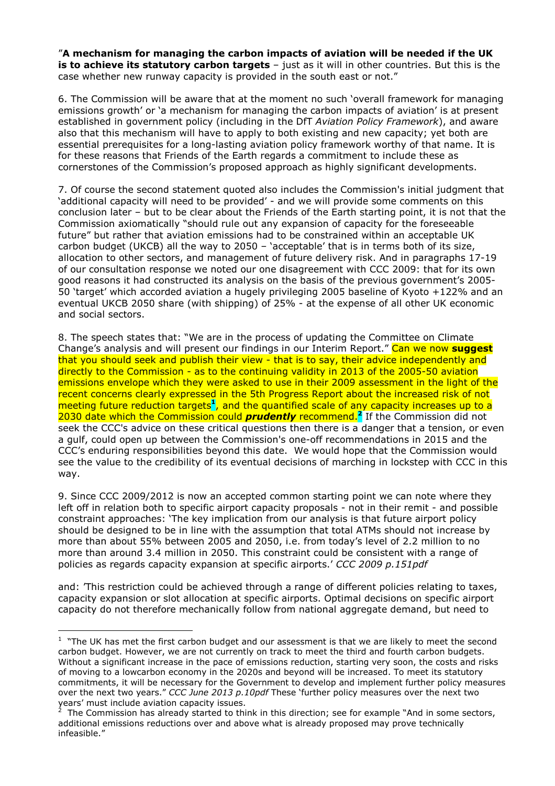"**A mechanism for managing the carbon impacts of aviation will be needed if the UK is to achieve its statutory carbon targets** – just as it will in other countries. But this is the case whether new runway capacity is provided in the south east or not."

6. The Commission will be aware that at the moment no such 'overall framework for managing emissions growth' or 'a mechanism for managing the carbon impacts of aviation' is at present established in government policy (including in the DfT *Aviation Policy Framework*), and aware also that this mechanism will have to apply to both existing and new capacity; yet both are essential prerequisites for a long-lasting aviation policy framework worthy of that name. It is for these reasons that Friends of the Earth regards a commitment to include these as cornerstones of the Commission's proposed approach as highly significant developments.

7. Of course the second statement quoted also includes the Commission's initial judgment that 'additional capacity will need to be provided' - and we will provide some comments on this conclusion later – but to be clear about the Friends of the Earth starting point, it is not that the Commission axiomatically "should rule out any expansion of capacity for the foreseeable future" but rather that aviation emissions had to be constrained within an acceptable UK carbon budget (UKCB) all the way to 2050 – 'acceptable' that is in terms both of its size, allocation to other sectors, and management of future delivery risk. And in paragraphs 17-19 of our consultation response we noted our one disagreement with CCC 2009: that for its own good reasons it had constructed its analysis on the basis of the previous government's 2005- 50 'target' which accorded aviation a hugely privileging 2005 baseline of Kyoto +122% and an eventual UKCB 2050 share (with shipping) of 25% - at the expense of all other UK economic and social sectors.

8. The speech states that: "We are in the process of updating the Committee on Climate Change's analysis and will present our findings in our Interim Report." Can we now **suggest**  that you should seek and publish their view - that is to say, their advice independently and directly to the Commission - as to the continuing validity in 2013 of the 2005-50 aviation emissions envelope which they were asked to use in their 2009 assessment in the light of the recent concerns clearly expressed in the 5th Progress Report about the increased risk of not meeting future reduction targets<sup>1</sup>, and the quantified scale of any capacity increases up to a 2030 date which the Commission could *prudently* recommend.**<sup>2</sup>** If the Commission did not seek the CCC's advice on these critical questions then there is a danger that a tension, or even a gulf, could open up between the Commission's one-off recommendations in 2015 and the CCC's enduring responsibilities beyond this date. We would hope that the Commission would see the value to the credibility of its eventual decisions of marching in lockstep with CCC in this way.

9. Since CCC 2009/2012 is now an accepted common starting point we can note where they left off in relation both to specific airport capacity proposals - not in their remit - and possible constraint approaches: 'The key implication from our analysis is that future airport policy should be designed to be in line with the assumption that total ATMs should not increase by more than about 55% between 2005 and 2050, i.e. from today's level of 2.2 million to no more than around 3.4 million in 2050. This constraint could be consistent with a range of policies as regards capacity expansion at specific airports.' *CCC 2009 p.151pdf* 

and: 'This restriction could be achieved through a range of different policies relating to taxes, capacity expansion or slot allocation at specific airports. Optimal decisions on specific airport capacity do not therefore mechanically follow from national aggregate demand, but need to

 $1$  "The UK has met the first carbon budget and our assessment is that we are likely to meet the second carbon budget. However, we are not currently on track to meet the third and fourth carbon budgets. Without a significant increase in the pace of emissions reduction, starting very soon, the costs and risks of moving to a lowcarbon economy in the 2020s and beyond will be increased. To meet its statutory commitments, it will be necessary for the Government to develop and implement further policy measures over the next two years." *CCC June 2013 p.10pdf* These 'further policy measures over the next two years' must include aviation capacity issues. 2

The Commission has already started to think in this direction; see for example "And in some sectors, additional emissions reductions over and above what is already proposed may prove technically infeasible."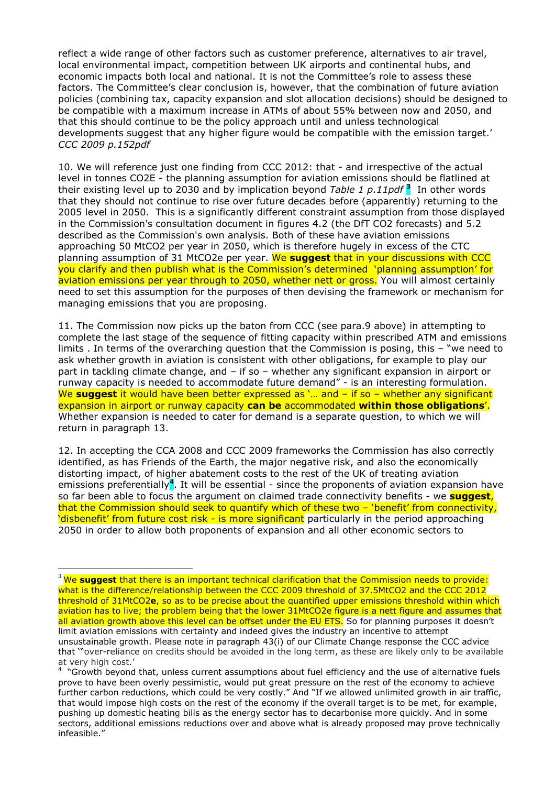reflect a wide range of other factors such as customer preference, alternatives to air travel, local environmental impact, competition between UK airports and continental hubs, and economic impacts both local and national. It is not the Committee's role to assess these factors. The Committee's clear conclusion is, however, that the combination of future aviation policies (combining tax, capacity expansion and slot allocation decisions) should be designed to be compatible with a maximum increase in ATMs of about 55% between now and 2050, and that this should continue to be the policy approach until and unless technological developments suggest that any higher figure would be compatible with the emission target.' *CCC 2009 p.152pdf*

10. We will reference just one finding from CCC 2012: that - and irrespective of the actual level in tonnes CO2E - the planning assumption for aviation emissions should be flatlined at their existing level up to 2030 and by implication beyond *Table 1 p.11pdf* **<sup>3</sup>** In other words that they should not continue to rise over future decades before (apparently) returning to the 2005 level in 2050. This is a significantly different constraint assumption from those displayed in the Commission's consultation document in figures 4.2 (the DfT CO2 forecasts) and 5.2 described as the Commission's own analysis. Both of these have aviation emissions approaching 50 MtCO2 per year in 2050, which is therefore hugely in excess of the CTC planning assumption of 31 MtCO2e per year. We **suggest** that in your discussions with CCC you clarify and then publish what is the Commission's determined 'planning assumption' for aviation emissions per year through to 2050, whether nett or gross. You will almost certainly need to set this assumption for the purposes of then devising the framework or mechanism for managing emissions that you are proposing.

11. The Commission now picks up the baton from CCC (see para.9 above) in attempting to complete the last stage of the sequence of fitting capacity within prescribed ATM and emissions limits . In terms of the overarching question that the Commission is posing, this – "we need to ask whether growth in aviation is consistent with other obligations, for example to play our part in tackling climate change, and – if so – whether any significant expansion in airport or runway capacity is needed to accommodate future demand" - is an interesting formulation. We **suggest** it would have been better expressed as '... and – if so – whether any significant expansion in airport or runway capacity **can be** accommodated **within those obligations**'. Whether expansion is needed to cater for demand is a separate question, to which we will return in paragraph 13.

12. In accepting the CCA 2008 and CCC 2009 frameworks the Commission has also correctly identified, as has Friends of the Earth, the major negative risk, and also the economically distorting impact, of higher abatement costs to the rest of the UK of treating aviation emissions preferentially<sup>4</sup>. It will be essential - since the proponents of aviation expansion have so far been able to focus the argument on claimed trade connectivity benefits - we **suggest**, that the Commission should seek to quantify which of these two – 'benefit' from connectivity, 'disbenefit' from future cost risk - is more significant particularly in the period approaching 2050 in order to allow both proponents of expansion and all other economic sectors to

<sup>&</sup>lt;sup>3</sup> We suggest that there is an important technical clarification that the Commission needs to provide: what is the difference/relationship between the CCC 2009 threshold of 37.5MtCO2 and the CCC 2012 threshold of 31MtCO2**e**, so as to be precise about the quantified upper emissions threshold within which aviation has to live; the problem being that the lower 31MtCO2e figure is a nett figure and assumes that all aviation growth above this level can be offset under the EU ETS. So for planning purposes it doesn't limit aviation emissions with certainty and indeed gives the industry an incentive to attempt unsustainable growth. Please note in paragraph 43(i) of our Climate Change response the CCC advice that '"over-reliance on credits should be avoided in the long term, as these are likely only to be available at very high cost.'

<sup>4</sup> "Growth beyond that, unless current assumptions about fuel efficiency and the use of alternative fuels prove to have been overly pessimistic, would put great pressure on the rest of the economy to achieve further carbon reductions, which could be very costly." And "If we allowed unlimited growth in air traffic, that would impose high costs on the rest of the economy if the overall target is to be met, for example, pushing up domestic heating bills as the energy sector has to decarbonise more quickly. And in some sectors, additional emissions reductions over and above what is already proposed may prove technically infeasible."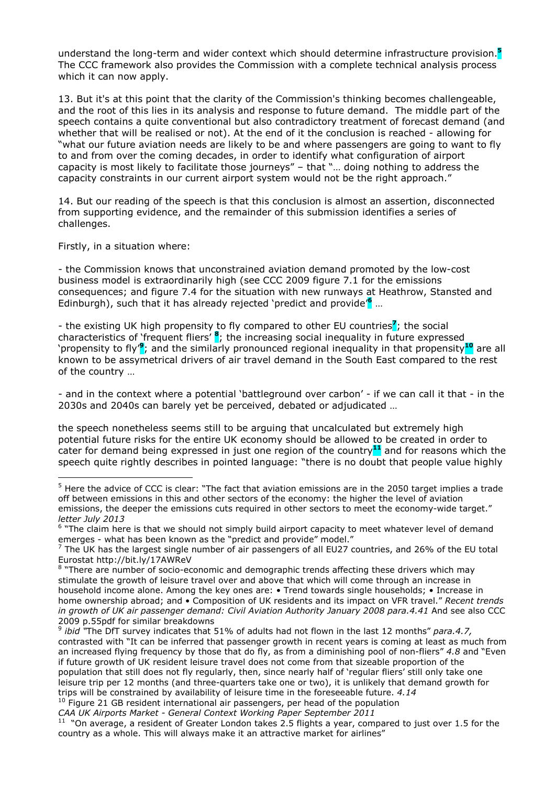understand the long-term and wider context which should determine infrastructure provision.**<sup>5</sup>** The CCC framework also provides the Commission with a complete technical analysis process which it can now apply.

13. But it's at this point that the clarity of the Commission's thinking becomes challengeable, and the root of this lies in its analysis and response to future demand. The middle part of the speech contains a quite conventional but also contradictory treatment of forecast demand (and whether that will be realised or not). At the end of it the conclusion is reached - allowing for "what our future aviation needs are likely to be and where passengers are going to want to fly to and from over the coming decades, in order to identify what configuration of airport capacity is most likely to facilitate those journeys" – that "… doing nothing to address the capacity constraints in our current airport system would not be the right approach."

14. But our reading of the speech is that this conclusion is almost an assertion, disconnected from supporting evidence, and the remainder of this submission identifies a series of challenges.

Firstly, in a situation where:

 $\overline{a}$ 

- the Commission knows that unconstrained aviation demand promoted by the low-cost business model is extraordinarily high (see CCC 2009 figure 7.1 for the emissions consequences; and figure 7.4 for the situation with new runways at Heathrow, Stansted and Edinburgh), such that it has already rejected 'predict and provide'**<sup>6</sup>** …

- the existing UK high propensity to fly compared to other EU countries**<sup>7</sup>** ; the social characteristics of 'frequent fliers' **<sup>8</sup>** ; the increasing social inequality in future expressed `propensity to fly'<sup>9</sup>; and the similarly pronounced regional inequality in that propensity<sup>10</sup> are all known to be assymetrical drivers of air travel demand in the South East compared to the rest of the country …

- and in the context where a potential 'battleground over carbon' - if we can call it that - in the 2030s and 2040s can barely yet be perceived, debated or adjudicated …

the speech nonetheless seems still to be arguing that uncalculated but extremely high potential future risks for the entire UK economy should be allowed to be created in order to cater for demand being expressed in just one region of the country**<sup>11</sup>** and for reasons which the speech quite rightly describes in pointed language: "there is no doubt that people value highly

*CAA UK Airports Market - General Context Working Paper September 2011*

<sup>&</sup>lt;sup>5</sup> Here the advice of CCC is clear: "The fact that aviation emissions are in the 2050 target implies a trade off between emissions in this and other sectors of the economy: the higher the level of aviation emissions, the deeper the emissions cuts required in other sectors to meet the economy-wide target." *letter July 2013*

<sup>&</sup>lt;sup>6</sup> "The claim here is that we should not simply build airport capacity to meet whatever level of demand emerges - what has been known as the "predict and provide" model."

 $^7$  The UK has the largest single number of air passengers of all EU27 countries, and 26% of the EU total Eurostat http://bit.ly/17AWReV

<sup>&</sup>lt;sup>8</sup> "There are number of socio-economic and demographic trends affecting these drivers which may stimulate the growth of leisure travel over and above that which will come through an increase in household income alone. Among the key ones are: • Trend towards single households; • Increase in home ownership abroad; and • Composition of UK residents and its impact on VFR travel." *Recent trends*  in growth of UK air passenger demand: Civil Aviation Authority January 2008 para.4.41 And see also CCC 2009 p.55pdf for similar breakdowns

<sup>9</sup> *ibid "*The DfT survey indicates that 51% of adults had not flown in the last 12 months" *para.4.7,*  contrasted with "It can be inferred that passenger growth in recent years is coming at least as much from an increased flying frequency by those that do fly, as from a diminishing pool of non-fliers" *4.8* and "Even if future growth of UK resident leisure travel does not come from that sizeable proportion of the population that still does not fly regularly, then, since nearly half of 'regular fliers' still only take one leisure trip per 12 months (and three-quarters take one or two), it is unlikely that demand growth for trips will be constrained by availability of leisure time in the foreseeable future. *4.14* <sup>10</sup> Figure 21 GB resident international air passengers, per head of the population

<sup>&</sup>lt;sup>11</sup> "On average, a resident of Greater London takes 2.5 flights a year, compared to just over 1.5 for the country as a whole. This will always make it an attractive market for airlines"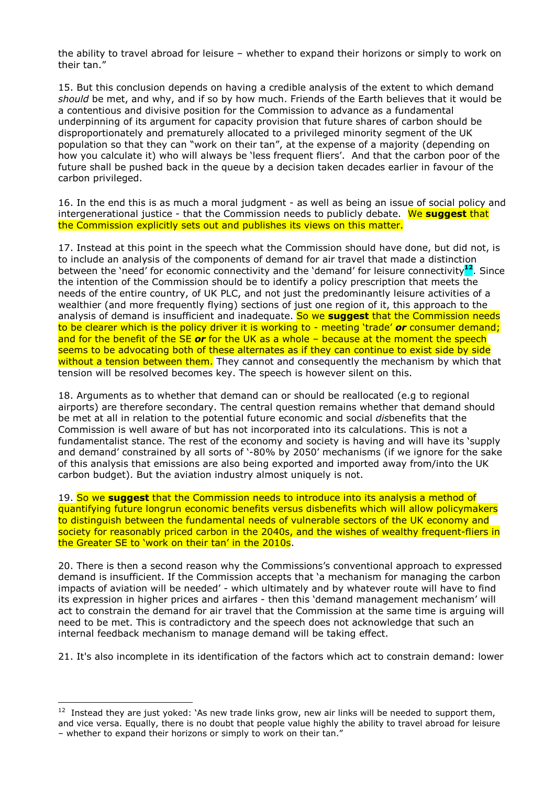the ability to travel abroad for leisure – whether to expand their horizons or simply to work on their tan."

15. But this conclusion depends on having a credible analysis of the extent to which demand *should* be met, and why, and if so by how much. Friends of the Earth believes that it would be a contentious and divisive position for the Commission to advance as a fundamental underpinning of its argument for capacity provision that future shares of carbon should be disproportionately and prematurely allocated to a privileged minority segment of the UK population so that they can "work on their tan", at the expense of a majority (depending on how you calculate it) who will always be 'less frequent fliers'. And that the carbon poor of the future shall be pushed back in the queue by a decision taken decades earlier in favour of the carbon privileged.

16. In the end this is as much a moral judgment - as well as being an issue of social policy and intergenerational justice - that the Commission needs to publicly debate. We **suggest** that the Commission explicitly sets out and publishes its views on this matter.

17. Instead at this point in the speech what the Commission should have done, but did not, is to include an analysis of the components of demand for air travel that made a distinction between the 'need' for economic connectivity and the 'demand' for leisure connectivity**<sup>12</sup>**. Since the intention of the Commission should be to identify a policy prescription that meets the needs of the entire country, of UK PLC, and not just the predominantly leisure activities of a wealthier (and more frequently flying) sections of just one region of it, this approach to the analysis of demand is insufficient and inadequate. So we **suggest** that the Commission needs to be clearer which is the policy driver it is working to - meeting 'trade' *or* consumer demand; and for the benefit of the SE *or* for the UK as a whole – because at the moment the speech seems to be advocating both of these alternates as if they can continue to exist side by side without a tension between them. They cannot and consequently the mechanism by which that tension will be resolved becomes key. The speech is however silent on this.

18. Arguments as to whether that demand can or should be reallocated (e.g to regional airports) are therefore secondary. The central question remains whether that demand should be met at all in relation to the potential future economic and social *dis*benefits that the Commission is well aware of but has not incorporated into its calculations. This is not a fundamentalist stance. The rest of the economy and society is having and will have its 'supply and demand' constrained by all sorts of '-80% by 2050' mechanisms (if we ignore for the sake of this analysis that emissions are also being exported and imported away from/into the UK carbon budget). But the aviation industry almost uniquely is not.

19. So we **suggest** that the Commission needs to introduce into its analysis a method of quantifying future longrun economic benefits versus disbenefits which will allow policymakers to distinguish between the fundamental needs of vulnerable sectors of the UK economy and society for reasonably priced carbon in the 2040s, and the wishes of wealthy frequent-fliers in the Greater SE to 'work on their tan' in the 2010s.

20. There is then a second reason why the Commissions's conventional approach to expressed demand is insufficient. If the Commission accepts that 'a mechanism for managing the carbon impacts of aviation will be needed' - which ultimately and by whatever route will have to find its expression in higher prices and airfares - then this 'demand management mechanism' will act to constrain the demand for air travel that the Commission at the same time is arguing will need to be met. This is contradictory and the speech does not acknowledge that such an internal feedback mechanism to manage demand will be taking effect.

21. It's also incomplete in its identification of the factors which act to constrain demand: lower

 $12$  Instead they are just yoked: 'As new trade links grow, new air links will be needed to support them, and vice versa. Equally, there is no doubt that people value highly the ability to travel abroad for leisure – whether to expand their horizons or simply to work on their tan."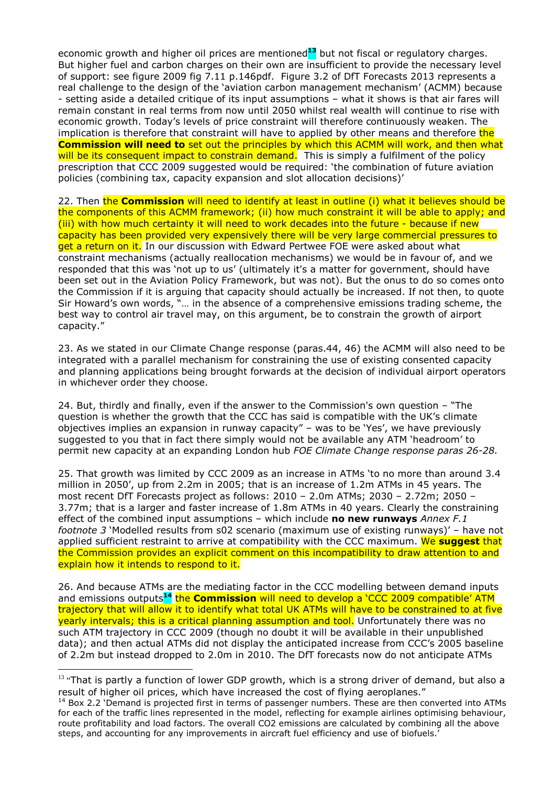economic growth and higher oil prices are mentioned**<sup>13</sup>** but not fiscal or regulatory charges. But higher fuel and carbon charges on their own are insufficient to provide the necessary level of support: see figure 2009 fig 7.11 p.146pdf. Figure 3.2 of DfT Forecasts 2013 represents a real challenge to the design of the 'aviation carbon management mechanism' (ACMM) because - setting aside a detailed critique of its input assumptions – what it shows is that air fares will remain constant in real terms from now until 2050 whilst real wealth will continue to rise with economic growth. Today's levels of price constraint will therefore continuously weaken. The implication is therefore that constraint will have to applied by other means and therefore the **Commission will need to** set out the principles by which this ACMM will work, and then what will be its consequent impact to constrain demand. This is simply a fulfilment of the policy prescription that CCC 2009 suggested would be required: 'the combination of future aviation policies (combining tax, capacity expansion and slot allocation decisions)'

22. Then the **Commission** will need to identify at least in outline (i) what it believes should be the components of this ACMM framework; (ii) how much constraint it will be able to apply; and (iii) with how much certainty it will need to work decades into the future - because if new capacity has been provided very expensively there will be very large commercial pressures to get a return on it. In our discussion with Edward Pertwee FOE were asked about what constraint mechanisms (actually reallocation mechanisms) we would be in favour of, and we responded that this was 'not up to us' (ultimately it's a matter for government, should have been set out in the Aviation Policy Framework, but was not). But the onus to do so comes onto the Commission if it is arguing that capacity should actually be increased. If not then, to quote Sir Howard's own words, "… in the absence of a comprehensive emissions trading scheme, the best way to control air travel may, on this argument, be to constrain the growth of airport capacity."

23. As we stated in our Climate Change response (paras.44, 46) the ACMM will also need to be integrated with a parallel mechanism for constraining the use of existing consented capacity and planning applications being brought forwards at the decision of individual airport operators in whichever order they choose.

24. But, thirdly and finally, even if the answer to the Commission's own question – "The question is whether the growth that the CCC has said is compatible with the UK's climate objectives implies an expansion in runway capacity" – was to be 'Yes', we have previously suggested to you that in fact there simply would not be available any ATM 'headroom' to permit new capacity at an expanding London hub *FOE Climate Change response paras 26-28.* 

25. That growth was limited by CCC 2009 as an increase in ATMs 'to no more than around 3.4 million in 2050', up from 2.2m in 2005; that is an increase of 1.2m ATMs in 45 years. The most recent DfT Forecasts project as follows: 2010 – 2.0m ATMs; 2030 – 2.72m; 2050 – 3.77m; that is a larger and faster increase of 1.8m ATMs in 40 years. Clearly the constraining effect of the combined input assumptions – which include **no new runways** *Annex F.1 footnote 3* 'Modelled results from s02 scenario (maximum use of existing runways)' – have not applied sufficient restraint to arrive at compatibility with the CCC maximum. We **suggest** that the Commission provides an explicit comment on this incompatibility to draw attention to and explain how it intends to respond to it.

26. And because ATMs are the mediating factor in the CCC modelling between demand inputs and emissions outputs**<sup>14</sup>** the **Commission** will need to develop a 'CCC 2009 compatible' ATM trajectory that will allow it to identify what total UK ATMs will have to be constrained to at five yearly intervals; this is a critical planning assumption and tool. Unfortunately there was no such ATM trajectory in CCC 2009 (though no doubt it will be available in their unpublished data); and then actual ATMs did not display the anticipated increase from CCC's 2005 baseline of 2.2m but instead dropped to 2.0m in 2010. The DfT forecasts now do not anticipate ATMs

<sup>&</sup>lt;sup>13</sup> "That is partly a function of lower GDP growth, which is a strong driver of demand, but also a result of higher oil prices, which have increased the cost of flying aeroplanes."

<sup>&</sup>lt;sup>14</sup> Box 2.2 'Demand is projected first in terms of passenger numbers. These are then converted into ATMs for each of the traffic lines represented in the model, reflecting for example airlines optimising behaviour, route profitability and load factors. The overall CO2 emissions are calculated by combining all the above steps, and accounting for any improvements in aircraft fuel efficiency and use of biofuels.'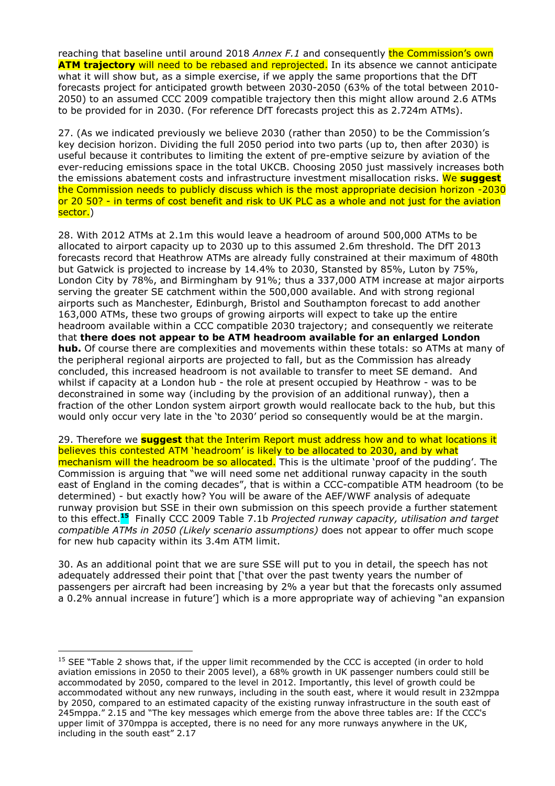reaching that baseline until around 2018 *Annex F.1* and consequently the Commission's own **ATM trajectory** will need to be rebased and reprojected. In its absence we cannot anticipate what it will show but, as a simple exercise, if we apply the same proportions that the DfT forecasts project for anticipated growth between 2030-2050 (63% of the total between 2010- 2050) to an assumed CCC 2009 compatible trajectory then this might allow around 2.6 ATMs to be provided for in 2030. (For reference DfT forecasts project this as 2.724m ATMs).

27. (As we indicated previously we believe 2030 (rather than 2050) to be the Commission's key decision horizon. Dividing the full 2050 period into two parts (up to, then after 2030) is useful because it contributes to limiting the extent of pre-emptive seizure by aviation of the ever-reducing emissions space in the total UKCB. Choosing 2050 just massively increases both the emissions abatement costs and infrastructure investment misallocation risks. We **suggest** the Commission needs to publicly discuss which is the most appropriate decision horizon -2030 or 20 50? - in terms of cost benefit and risk to UK PLC as a whole and not just for the aviation sector.)

28. With 2012 ATMs at 2.1m this would leave a headroom of around 500,000 ATMs to be allocated to airport capacity up to 2030 up to this assumed 2.6m threshold. The DfT 2013 forecasts record that Heathrow ATMs are already fully constrained at their maximum of 480th but Gatwick is projected to increase by 14.4% to 2030, Stansted by 85%, Luton by 75%, London City by 78%, and Birmingham by 91%; thus a 337,000 ATM increase at major airports serving the greater SE catchment within the 500,000 available. And with strong regional airports such as Manchester, Edinburgh, Bristol and Southampton forecast to add another 163,000 ATMs, these two groups of growing airports will expect to take up the entire headroom available within a CCC compatible 2030 trajectory; and consequently we reiterate that **there does not appear to be ATM headroom available for an enlarged London hub.** Of course there are complexities and movements within these totals: so ATMs at many of the peripheral regional airports are projected to fall, but as the Commission has already concluded, this increased headroom is not available to transfer to meet SE demand. And whilst if capacity at a London hub - the role at present occupied by Heathrow - was to be deconstrained in some way (including by the provision of an additional runway), then a fraction of the other London system airport growth would reallocate back to the hub, but this would only occur very late in the 'to 2030' period so consequently would be at the margin.

29. Therefore we **suggest** that the Interim Report must address how and to what locations it believes this contested ATM 'headroom' is likely to be allocated to 2030, and by what mechanism will the headroom be so allocated. This is the ultimate 'proof of the pudding'. The Commission is arguing that "we will need some net additional runway capacity in the south east of England in the coming decades", that is within a CCC-compatible ATM headroom (to be determined) - but exactly how? You will be aware of the AEF/WWF analysis of adequate runway provision but SSE in their own submission on this speech provide a further statement to this effect.**<sup>15</sup>** Finally CCC 2009 Table 7.1b *Projected runway capacity, utilisation and target compatible ATMs in 2050 (Likely scenario assumptions)* does not appear to offer much scope for new hub capacity within its 3.4m ATM limit.

30. As an additional point that we are sure SSE will put to you in detail, the speech has not adequately addressed their point that ['that over the past twenty years the number of passengers per aircraft had been increasing by 2% a year but that the forecasts only assumed a 0.2% annual increase in future'] which is a more appropriate way of achieving "an expansion

<sup>&</sup>lt;sup>15</sup> SEE "Table 2 shows that, if the upper limit recommended by the CCC is accepted (in order to hold aviation emissions in 2050 to their 2005 level), a 68% growth in UK passenger numbers could still be accommodated by 2050, compared to the level in 2012. Importantly, this level of growth could be accommodated without any new runways, including in the south east, where it would result in 232mppa by 2050, compared to an estimated capacity of the existing runway infrastructure in the south east of 245mppa." 2.15 and "The key messages which emerge from the above three tables are: If the CCC's upper limit of 370mppa is accepted, there is no need for any more runways anywhere in the UK, including in the south east" 2.17